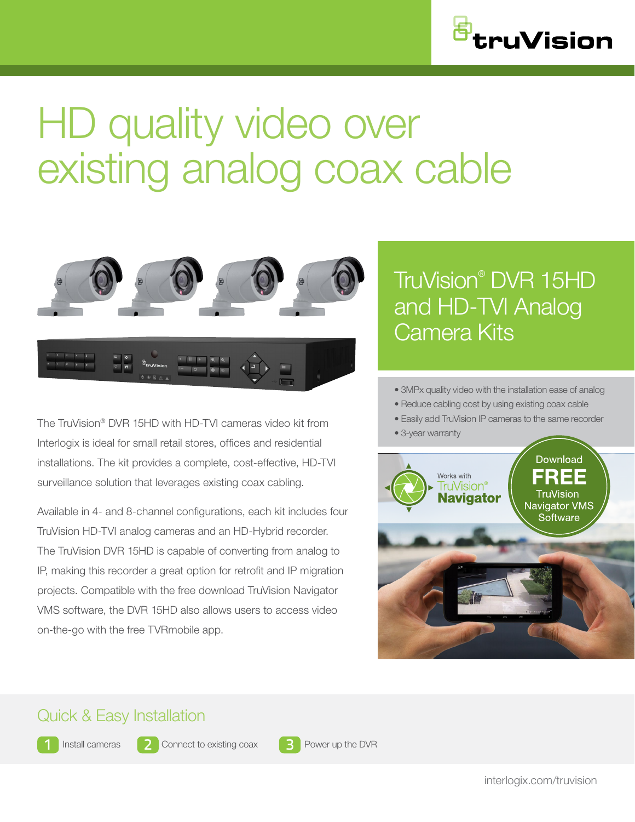

# HD quality video over existing analog coax cable



The TruVision® DVR 15HD with HD-TVI cameras video kit from Interlogix is ideal for small retail stores, offices and residential installations. The kit provides a complete, cost-effective, HD-TVI surveillance solution that leverages existing coax cabling.

Available in 4- and 8-channel configurations, each kit includes four TruVision HD-TVI analog cameras and an HD-Hybrid recorder. The TruVision DVR 15HD is capable of converting from analog to IP, making this recorder a great option for retrofit and IP migration projects. Compatible with the free download TruVision Navigator VMS software, the DVR 15HD also allows users to access video on-the-go with the free TVRmobile app.

## TruVision® DVR 15HD and HD-TVI Analog Camera Kits

• 3MPx quality video with the installation ease of analog

• Reduce cabling cost by using existing coax cable

• Easily add TruVision IP cameras to the same recorder

• 3-year warranty



## Quick & Easy Installation



Install cameras 2 Connect to existing coax 3 Power up the DVR